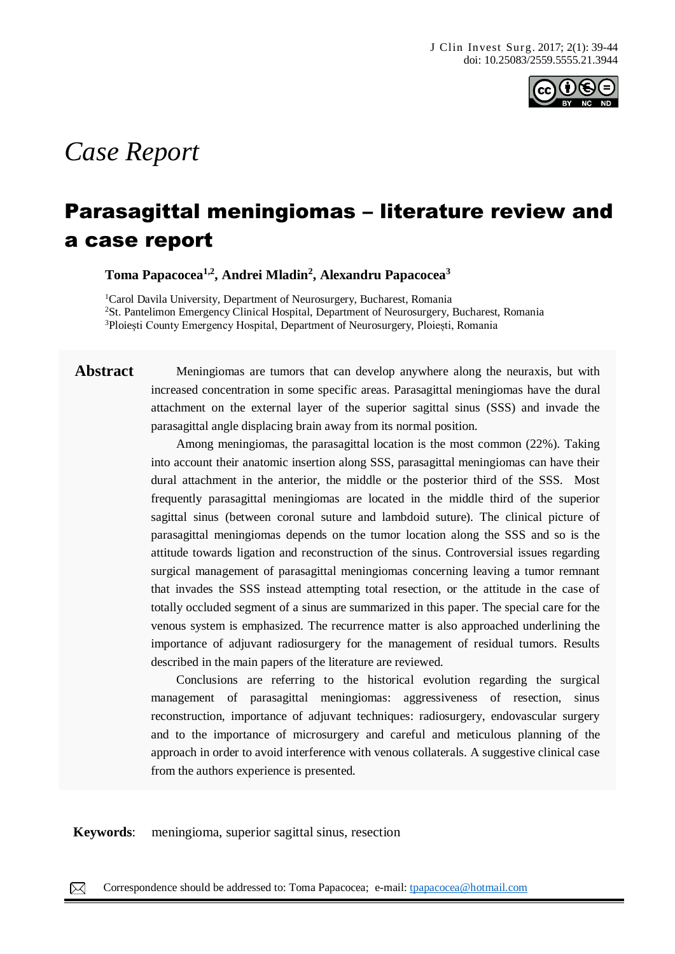

# *Case Report*

# Parasagittal meningiomas – literature review and a case report

**Toma Papacocea1,2, Andrei Mladin<sup>2</sup> , Alexandru Papacocea<sup>3</sup>**

<sup>1</sup>Carol Davila University, Department of Neurosurgery, Bucharest, Romania <sup>2</sup>St. Pantelimon Emergency Clinical Hospital, Department of Neurosurgery, Bucharest, Romania <sup>3</sup>Ploiești County Emergency Hospital, Department of Neurosurgery, Ploiești, Romania

**Abstract** Meningiomas are tumors that can develop anywhere along the neuraxis, but with increased concentration in some specific areas. Parasagittal meningiomas have the dural attachment on the external layer of the superior sagittal sinus (SSS) and invade the parasagittal angle displacing brain away from its normal position.

> Among meningiomas, the parasagittal location is the most common (22%). Taking into account their anatomic insertion along SSS, parasagittal meningiomas can have their dural attachment in the anterior, the middle or the posterior third of the SSS. Most frequently parasagittal meningiomas are located in the middle third of the superior sagittal sinus (between coronal suture and lambdoid suture). The clinical picture of parasagittal meningiomas depends on the tumor location along the SSS and so is the attitude towards ligation and reconstruction of the sinus. Controversial issues regarding surgical management of parasagittal meningiomas concerning leaving a tumor remnant that invades the SSS instead attempting total resection, or the attitude in the case of totally occluded segment of a sinus are summarized in this paper. The special care for the venous system is emphasized. The recurrence matter is also approached underlining the importance of adjuvant radiosurgery for the management of residual tumors. Results described in the main papers of the literature are reviewed.

> Conclusions are referring to the historical evolution regarding the surgical management of parasagittal meningiomas: aggressiveness of resection, sinus reconstruction, importance of adjuvant techniques: radiosurgery, endovascular surgery and to the importance of microsurgery and careful and meticulous planning of the approach in order to avoid interference with venous collaterals. A suggestive clinical case from the authors experience is presented.

**Keywords**: meningioma, superior sagittal sinus, resection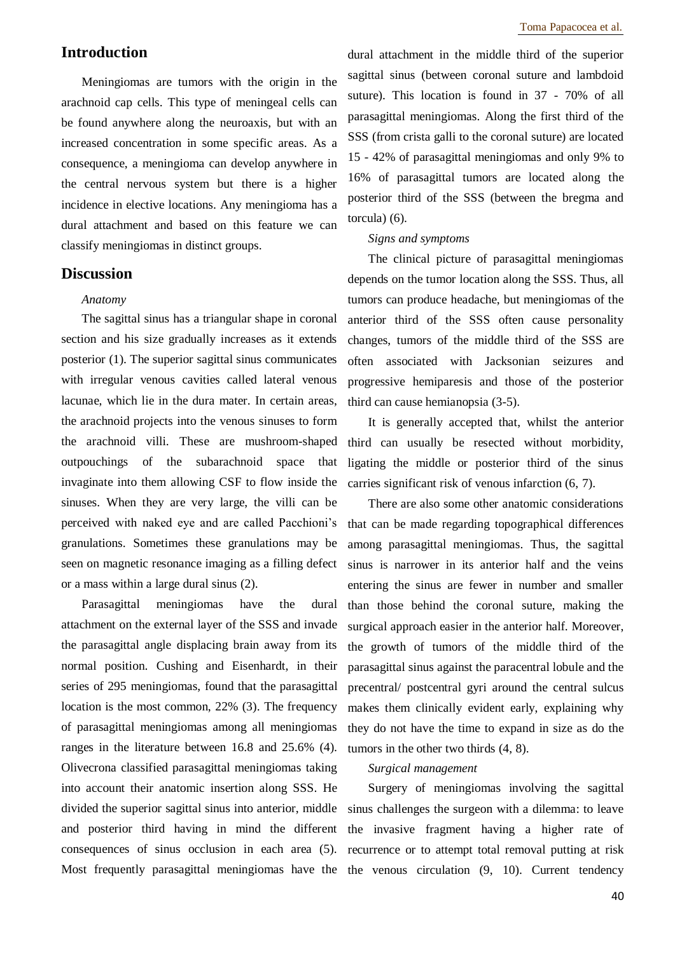# **Introduction**

Meningiomas are tumors with the origin in the arachnoid cap cells. This type of meningeal cells can be found anywhere along the neuroaxis, but with an increased concentration in some specific areas. As a consequence, a meningioma can develop anywhere in the central nervous system but there is a higher incidence in elective locations. Any meningioma has a dural attachment and based on this feature we can classify meningiomas in distinct groups.

# **Discussion**

#### *Anatomy*

The sagittal sinus has a triangular shape in coronal section and his size gradually increases as it extends posterior (1). The superior sagittal sinus communicates with irregular venous cavities called lateral venous lacunae, which lie in the dura mater. In certain areas, the arachnoid projects into the venous sinuses to form the arachnoid villi. These are mushroom-shaped outpouchings of the subarachnoid space that invaginate into them allowing CSF to flow inside the sinuses. When they are very large, the villi can be perceived with naked eye and are called Pacchioni's granulations. Sometimes these granulations may be seen on magnetic resonance imaging as a filling defect or a mass within a large dural sinus (2).

Parasagittal meningiomas have the dural attachment on the external layer of the SSS and invade the parasagittal angle displacing brain away from its normal position. Cushing and Eisenhardt, in their series of 295 meningiomas, found that the parasagittal location is the most common, 22% (3). The frequency of parasagittal meningiomas among all meningiomas ranges in the literature between 16.8 and 25.6% (4). Olivecrona classified parasagittal meningiomas taking into account their anatomic insertion along SSS. He divided the superior sagittal sinus into anterior, middle and posterior third having in mind the different consequences of sinus occlusion in each area (5). dural attachment in the middle third of the superior sagittal sinus (between coronal suture and lambdoid suture). This location is found in 37 - 70% of all parasagittal meningiomas. Along the first third of the SSS (from crista galli to the coronal suture) are located 15 - 42% of parasagittal meningiomas and only 9% to 16% of parasagittal tumors are located along the posterior third of the SSS (between the bregma and torcula) (6).

#### *Signs and symptoms*

The clinical picture of parasagittal meningiomas depends on the tumor location along the SSS. Thus, all tumors can produce headache, but meningiomas of the anterior third of the SSS often cause personality changes, tumors of the middle third of the SSS are often associated with Jacksonian seizures and progressive hemiparesis and those of the posterior third can cause hemianopsia (3-5).

It is generally accepted that, whilst the anterior third can usually be resected without morbidity, ligating the middle or posterior third of the sinus carries significant risk of venous infarction (6, 7).

There are also some other anatomic considerations that can be made regarding topographical differences among parasagittal meningiomas. Thus, the sagittal sinus is narrower in its anterior half and the veins entering the sinus are fewer in number and smaller than those behind the coronal suture, making the surgical approach easier in the anterior half. Moreover, the growth of tumors of the middle third of the parasagittal sinus against the paracentral lobule and the precentral/ postcentral gyri around the central sulcus makes them clinically evident early, explaining why they do not have the time to expand in size as do the tumors in the other two thirds (4, 8).

#### *Surgical management*

Most frequently parasagittal meningiomas have the the venous circulation (9, 10). Current tendency Surgery of meningiomas involving the sagittal sinus challenges the surgeon with a dilemma: to leave the invasive fragment having a higher rate of recurrence or to attempt total removal putting at risk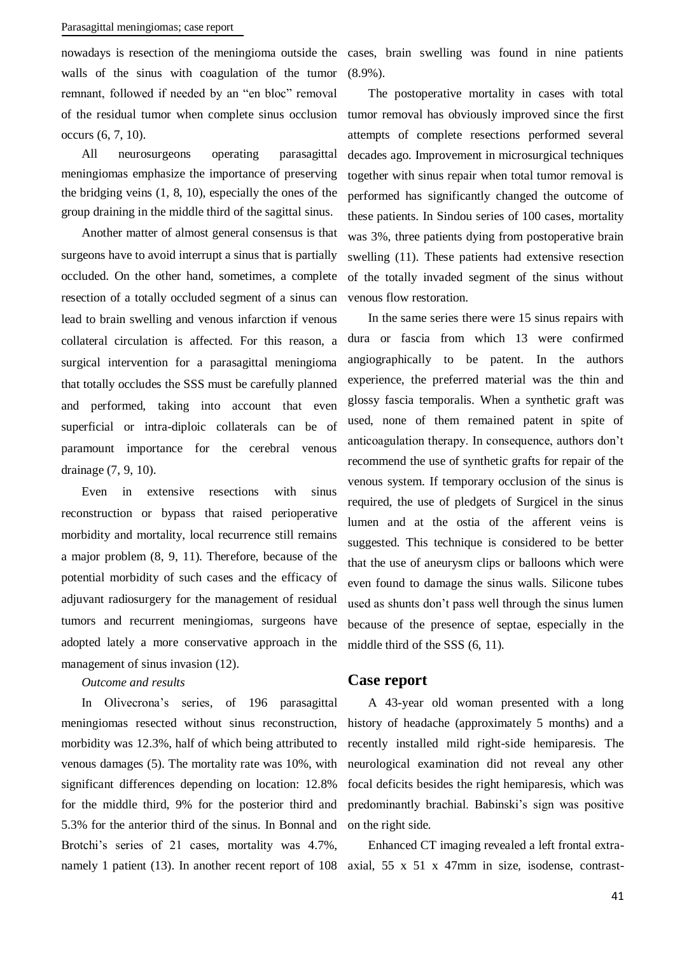nowadays is resection of the meningioma outside the walls of the sinus with coagulation of the tumor remnant, followed if needed by an "en bloc" removal of the residual tumor when complete sinus occlusion occurs (6, 7, 10).

All neurosurgeons operating parasagittal meningiomas emphasize the importance of preserving the bridging veins (1, 8, 10), especially the ones of the group draining in the middle third of the sagittal sinus.

Another matter of almost general consensus is that surgeons have to avoid interrupt a sinus that is partially occluded. On the other hand, sometimes, a complete resection of a totally occluded segment of a sinus can lead to brain swelling and venous infarction if venous collateral circulation is affected. For this reason, a surgical intervention for a parasagittal meningioma that totally occludes the SSS must be carefully planned and performed, taking into account that even superficial or intra-diploic collaterals can be of paramount importance for the cerebral venous drainage (7, 9, 10).

Even in extensive resections with sinus reconstruction or bypass that raised perioperative morbidity and mortality, local recurrence still remains a major problem (8, 9, 11). Therefore, because of the potential morbidity of such cases and the efficacy of adjuvant radiosurgery for the management of residual tumors and recurrent meningiomas, surgeons have adopted lately a more conservative approach in the management of sinus invasion (12).

### *Outcome and results*

In Olivecrona's series, of 196 parasagittal meningiomas resected without sinus reconstruction, morbidity was 12.3%, half of which being attributed to venous damages (5). The mortality rate was 10%, with significant differences depending on location: 12.8% for the middle third, 9% for the posterior third and 5.3% for the anterior third of the sinus. In Bonnal and Brotchi's series of 21 cases, mortality was 4.7%,

cases, brain swelling was found in nine patients (8.9%).

The postoperative mortality in cases with total tumor removal has obviously improved since the first attempts of complete resections performed several decades ago. Improvement in microsurgical techniques together with sinus repair when total tumor removal is performed has significantly changed the outcome of these patients. In Sindou series of 100 cases, mortality was 3%, three patients dying from postoperative brain swelling (11). These patients had extensive resection of the totally invaded segment of the sinus without venous flow restoration.

In the same series there were 15 sinus repairs with dura or fascia from which 13 were confirmed angiographically to be patent. In the authors experience, the preferred material was the thin and glossy fascia temporalis. When a synthetic graft was used, none of them remained patent in spite of anticoagulation therapy. In consequence, authors don't recommend the use of synthetic grafts for repair of the venous system. If temporary occlusion of the sinus is required, the use of pledgets of Surgicel in the sinus lumen and at the ostia of the afferent veins is suggested. This technique is considered to be better that the use of aneurysm clips or balloons which were even found to damage the sinus walls. Silicone tubes used as shunts don't pass well through the sinus lumen because of the presence of septae, especially in the middle third of the SSS (6, 11).

### **Case report**

A 43-year old woman presented with a long history of headache (approximately 5 months) and a recently installed mild right-side hemiparesis. The neurological examination did not reveal any other focal deficits besides the right hemiparesis, which was predominantly brachial. Babinski's sign was positive on the right side.

namely 1 patient (13). In another recent report of 108 axial, 55 x 51 x 47mm in size, isodense, contrast-Enhanced CT imaging revealed a left frontal extra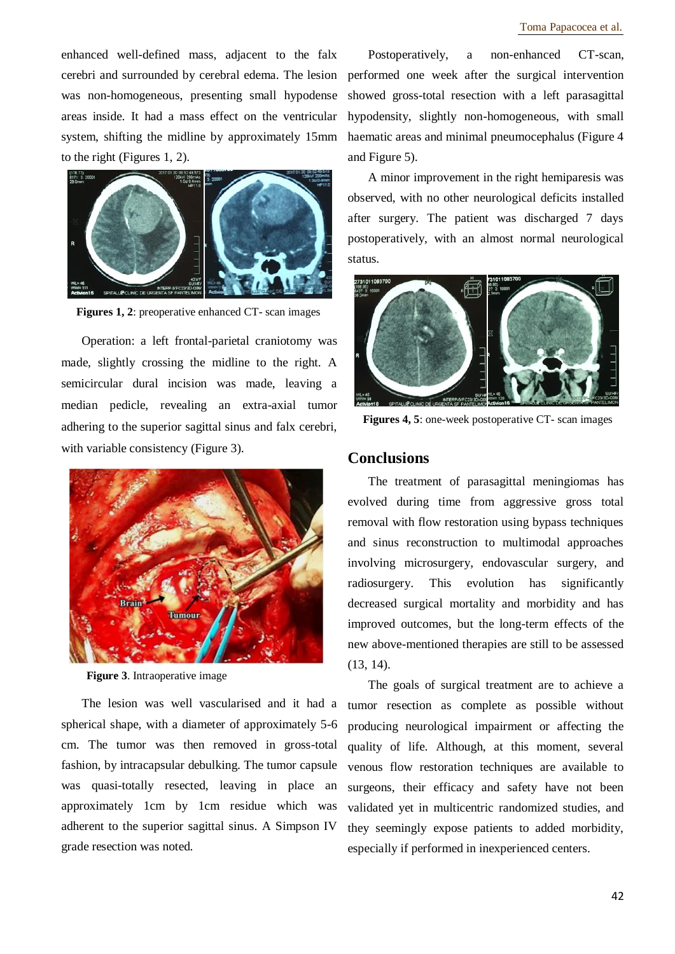enhanced well-defined mass, adjacent to the falx cerebri and surrounded by cerebral edema. The lesion was non-homogeneous, presenting small hypodense areas inside. It had a mass effect on the ventricular system, shifting the midline by approximately 15mm to the right (Figures 1, 2).



**Figures 1, 2**: preoperative enhanced CT- scan images

Operation: a left frontal-parietal craniotomy was made, slightly crossing the midline to the right. A semicircular dural incision was made, leaving a median pedicle, revealing an extra-axial tumor adhering to the superior sagittal sinus and falx cerebri, with variable consistency (Figure 3).



**Figure 3**. Intraoperative image

The lesion was well vascularised and it had a spherical shape, with a diameter of approximately 5-6 cm. The tumor was then removed in gross-total fashion, by intracapsular debulking. The tumor capsule was quasi-totally resected, leaving in place an approximately 1cm by 1cm residue which was adherent to the superior sagittal sinus. A Simpson IV grade resection was noted.

Postoperatively, a non-enhanced CT-scan, performed one week after the surgical intervention showed gross-total resection with a left parasagittal hypodensity, slightly non-homogeneous, with small haematic areas and minimal pneumocephalus (Figure 4 and Figure 5).

A minor improvement in the right hemiparesis was observed, with no other neurological deficits installed after surgery. The patient was discharged 7 days postoperatively, with an almost normal neurological status.



**Figures 4, 5**: one-week postoperative CT- scan images

# **Conclusions**

The treatment of parasagittal meningiomas has evolved during time from aggressive gross total removal with flow restoration using bypass techniques and sinus reconstruction to multimodal approaches involving microsurgery, endovascular surgery, and radiosurgery. This evolution has significantly decreased surgical mortality and morbidity and has improved outcomes, but the long-term effects of the new above-mentioned therapies are still to be assessed (13, 14).

The goals of surgical treatment are to achieve a tumor resection as complete as possible without producing neurological impairment or affecting the quality of life. Although, at this moment, several venous flow restoration techniques are available to surgeons, their efficacy and safety have not been validated yet in multicentric randomized studies, and they seemingly expose patients to added morbidity, especially if performed in inexperienced centers.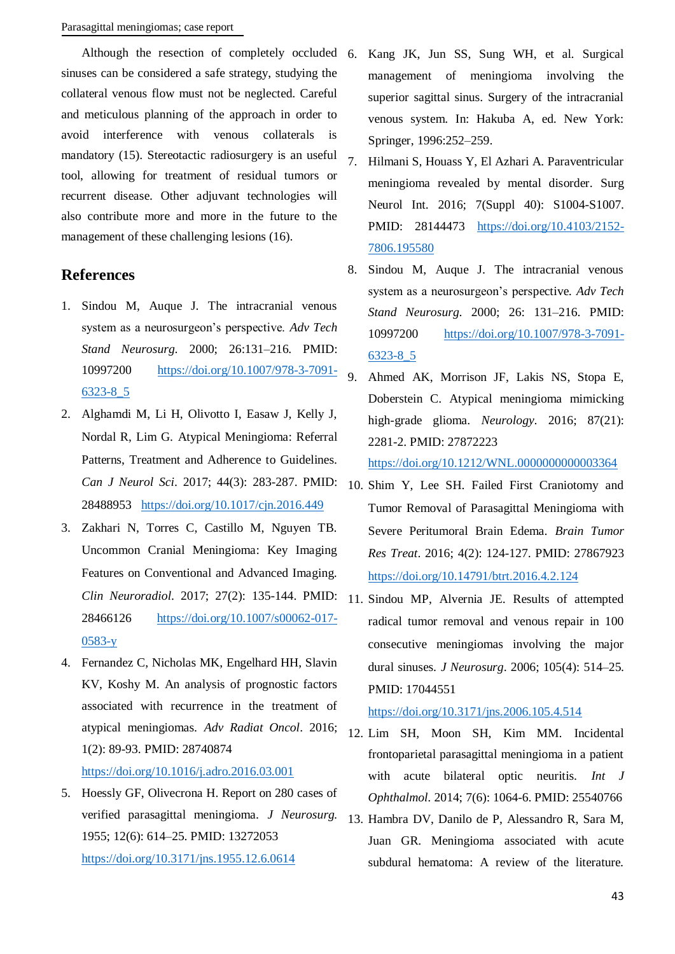Although the resection of completely occluded 6. sinuses can be considered a safe strategy, studying the collateral venous flow must not be neglected. Careful and meticulous planning of the approach in order to avoid interference with venous collaterals is mandatory (15). Stereotactic radiosurgery is an useful tool, allowing for treatment of residual tumors or recurrent disease. Other adjuvant technologies will also contribute more and more in the future to the management of these challenging lesions (16).

# **References**

- 1. Sindou M, Auque J. The intracranial venous system as a neurosurgeon's perspective. *Adv Tech Stand Neurosurg*. 2000; 26:131–216. PMID: 10997200 [https://doi.org/10.1007/978-3-7091-](https://doi.org/10.1007/978-3-7091-6323-8_5) [6323-8\\_5](https://doi.org/10.1007/978-3-7091-6323-8_5)
- 2. Alghamdi M, Li H, Olivotto I, Easaw J, Kelly J, Nordal R, Lim G. Atypical Meningioma: Referral Patterns, Treatment and Adherence to Guidelines. *Can J Neurol Sci*. 2017; 44(3): 283-287. PMID: 28488953 <https://doi.org/10.1017/cjn.2016.449>
- 3. Zakhari N, Torres C, Castillo M, Nguyen TB. Uncommon Cranial Meningioma: Key Imaging Features on Conventional and Advanced Imaging. *Clin Neuroradiol*. 2017; 27(2): 135-144. PMID: 28466126 [https://doi.org/10.1007/s00062-017-](https://doi.org/10.1007/s00062-017-0583-y) [0583-y](https://doi.org/10.1007/s00062-017-0583-y)
- 4. Fernandez C, Nicholas MK, Engelhard HH, Slavin KV, Koshy M. An analysis of prognostic factors associated with recurrence in the treatment of atypical meningiomas. *Adv Radiat Oncol*. 2016; 1(2): 89-93. PMID: 28740874

# <https://doi.org/10.1016/j.adro.2016.03.001>

5. Hoessly GF, Olivecrona H. Report on 280 cases of verified parasagittal meningioma. *J Neurosurg.* 1955; 12(6): 614–25. PMID: 13272053 <https://doi.org/10.3171/jns.1955.12.6.0614>

- 6. Kang JK, Jun SS, Sung WH, et al. Surgical management of meningioma involving the superior sagittal sinus. Surgery of the intracranial venous system. In: Hakuba A, ed. New York: Springer, 1996:252–259.
- 7. Hilmani S, Houass Y, El Azhari A. Paraventricular meningioma revealed by mental disorder. Surg Neurol Int. 2016; 7(Suppl 40): S1004-S1007. PMID: 28144473 [https://doi.org/10.4103/2152-](https://doi.org/10.4103/2152-7806.195580) [7806.195580](https://doi.org/10.4103/2152-7806.195580)
- 8. Sindou M, Auque J. The intracranial venous system as a neurosurgeon's perspective. *Adv Tech Stand Neurosurg*. 2000; 26: 131–216. PMID: 10997200 [https://doi.org/10.1007/978-3-7091-](https://doi.org/10.1007/978-3-7091-6323-8_5) [6323-8\\_5](https://doi.org/10.1007/978-3-7091-6323-8_5)
- 9. Ahmed AK, Morrison JF, Lakis NS, Stopa E, Doberstein C. Atypical meningioma mimicking high-grade glioma. *Neurology*. 2016; 87(21): 2281-2. PMID: 27872223 <https://doi.org/10.1212/WNL.0000000000003364>
- 10. Shim Y, Lee SH. Failed First Craniotomy and Tumor Removal of Parasagittal Meningioma with Severe Peritumoral Brain Edema. *Brain Tumor Res Treat*. 2016; 4(2): 124-127. PMID: 27867923 <https://doi.org/10.14791/btrt.2016.4.2.124>
- 11. Sindou MP, Alvernia JE. Results of attempted radical tumor removal and venous repair in 100 consecutive meningiomas involving the major dural sinuses. *J Neurosurg*. 2006; 105(4): 514–25. PMID: 17044551

# <https://doi.org/10.3171/jns.2006.105.4.514>

- 12. Lim SH, Moon SH, Kim MM. Incidental frontoparietal parasagittal meningioma in a patient with acute bilateral optic neuritis. *Int J Ophthalmol*. 2014; 7(6): 1064-6. PMID: 25540766
- 13. Hambra DV, Danilo de P, Alessandro R, Sara M, Juan GR. Meningioma associated with acute subdural hematoma: A review of the literature.